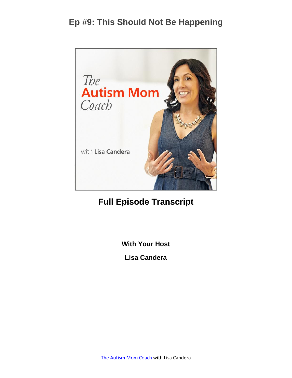

# **Full Episode Transcript**

**With Your Host**

**Lisa Candera**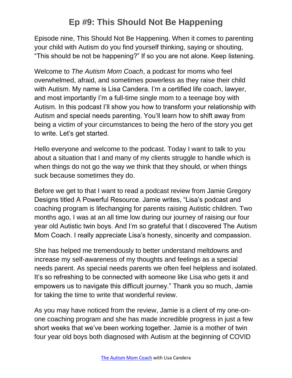Episode nine, This Should Not Be Happening. When it comes to parenting your child with Autism do you find yourself thinking, saying or shouting, "This should be not be happening?" If so you are not alone. Keep listening.

Welcome to *The Autism Mom Coach*, a podcast for moms who feel overwhelmed, afraid, and sometimes powerless as they raise their child with Autism. My name is Lisa Candera. I'm a certified life coach, lawyer, and most importantly I'm a full-time single mom to a teenage boy with Autism. In this podcast I'll show you how to transform your relationship with Autism and special needs parenting. You'll learn how to shift away from being a victim of your circumstances to being the hero of the story you get to write. Let's get started.

Hello everyone and welcome to the podcast. Today I want to talk to you about a situation that I and many of my clients struggle to handle which is when things do not go the way we think that they should, or when things suck because sometimes they do.

Before we get to that I want to read a podcast review from Jamie Gregory Designs titled A Powerful Resource. Jamie writes, "Lisa's podcast and coaching program is lifechanging for parents raising Autistic children. Two months ago, I was at an all time low during our journey of raising our four year old Autistic twin boys. And I'm so grateful that I discovered The Autism Mom Coach. I really appreciate Lisa's honesty, sincerity and compassion.

She has helped me tremendously to better understand meltdowns and increase my self-awareness of my thoughts and feelings as a special needs parent. As special needs parents we often feel helpless and isolated. It's so refreshing to be connected with someone like Lisa who gets it and empowers us to navigate this difficult journey." Thank you so much, Jamie for taking the time to write that wonderful review.

As you may have noticed from the review, Jamie is a client of my one-onone coaching program and she has made incredible progress in just a few short weeks that we've been working together. Jamie is a mother of twin four year old boys both diagnosed with Autism at the beginning of COVID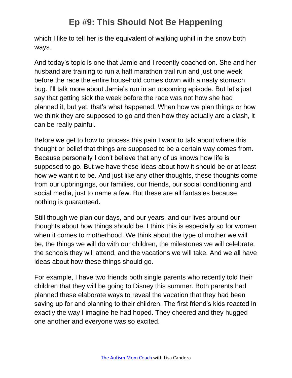which I like to tell her is the equivalent of walking uphill in the snow both ways.

And today's topic is one that Jamie and I recently coached on. She and her husband are training to run a half marathon trail run and just one week before the race the entire household comes down with a nasty stomach bug. I'll talk more about Jamie's run in an upcoming episode. But let's just say that getting sick the week before the race was not how she had planned it, but yet, that's what happened. When how we plan things or how we think they are supposed to go and then how they actually are a clash, it can be really painful.

Before we get to how to process this pain I want to talk about where this thought or belief that things are supposed to be a certain way comes from. Because personally I don't believe that any of us knows how life is supposed to go. But we have these ideas about how it should be or at least how we want it to be. And just like any other thoughts, these thoughts come from our upbringings, our families, our friends, our social conditioning and social media, just to name a few. But these are all fantasies because nothing is guaranteed.

Still though we plan our days, and our years, and our lives around our thoughts about how things should be. I think this is especially so for women when it comes to motherhood. We think about the type of mother we will be, the things we will do with our children, the milestones we will celebrate, the schools they will attend, and the vacations we will take. And we all have ideas about how these things should go.

For example, I have two friends both single parents who recently told their children that they will be going to Disney this summer. Both parents had planned these elaborate ways to reveal the vacation that they had been saving up for and planning to their children. The first friend's kids reacted in exactly the way I imagine he had hoped. They cheered and they hugged one another and everyone was so excited.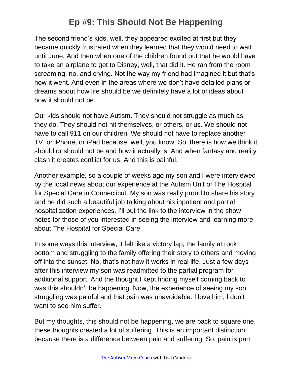The second friend's kids, well, they appeared excited at first but they became quickly frustrated when they learned that they would need to wait until June. And then when one of the children found out that he would have to take an airplane to get to Disney, well, that did it. He ran from the room screaming, no, and crying. Not the way my friend had imagined it but that's how it went. And even in the areas where we don't have detailed plans or dreams about how life should be we definitely have a lot of ideas about how it should not be.

Our kids should not have Autism. They should not struggle as much as they do. They should not hit themselves, or others, or us. We should not have to call 911 on our children. We should not have to replace another TV, or iPhone, or iPad because, well, you know. So, there is how we think it should or should not be and how it actually is. And when fantasy and reality clash it creates conflict for us. And this is painful.

Another example, so a couple of weeks ago my son and I were interviewed by the local news about our experience at the Autism Unit of The Hospital for Special Care in Connecticut. My son was really proud to share his story and he did such a beautiful job talking about his inpatient and partial hospitalization experiences. I'll put the link to the interview in the show notes for those of you interested in seeing the interview and learning more about The Hospital for Special Care.

In some ways this interview, it felt like a victory lap, the family at rock bottom and struggling to the family offering their story to others and moving off into the sunset. No, that's not how it works in real life. Just a few days after this interview my son was readmitted to the partial program for additional support. And the thought I kept finding myself coming back to was this shouldn't be happening. Now, the experience of seeing my son struggling was painful and that pain was unavoidable. I love him, I don't want to see him suffer.

But my thoughts, this should not be happening, we are back to square one, these thoughts created a lot of suffering. This is an important distinction because there is a difference between pain and suffering. So, pain is part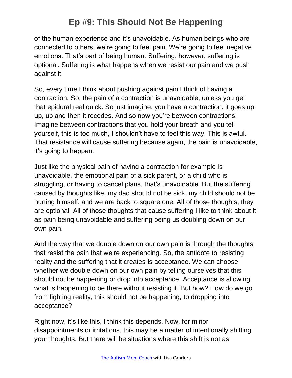of the human experience and it's unavoidable. As human beings who are connected to others, we're going to feel pain. We're going to feel negative emotions. That's part of being human. Suffering, however, suffering is optional. Suffering is what happens when we resist our pain and we push against it.

So, every time I think about pushing against pain I think of having a contraction. So, the pain of a contraction is unavoidable, unless you get that epidural real quick. So just imagine, you have a contraction, it goes up, up, up and then it recedes. And so now you're between contractions. Imagine between contractions that you hold your breath and you tell yourself, this is too much, I shouldn't have to feel this way. This is awful. That resistance will cause suffering because again, the pain is unavoidable, it's going to happen.

Just like the physical pain of having a contraction for example is unavoidable, the emotional pain of a sick parent, or a child who is struggling, or having to cancel plans, that's unavoidable. But the suffering caused by thoughts like, my dad should not be sick, my child should not be hurting himself, and we are back to square one. All of those thoughts, they are optional. All of those thoughts that cause suffering I like to think about it as pain being unavoidable and suffering being us doubling down on our own pain.

And the way that we double down on our own pain is through the thoughts that resist the pain that we're experiencing. So, the antidote to resisting reality and the suffering that it creates is acceptance. We can choose whether we double down on our own pain by telling ourselves that this should not be happening or drop into acceptance. Acceptance is allowing what is happening to be there without resisting it. But how? How do we go from fighting reality, this should not be happening, to dropping into acceptance?

Right now, it's like this, I think this depends. Now, for minor disappointments or irritations, this may be a matter of intentionally shifting your thoughts. But there will be situations where this shift is not as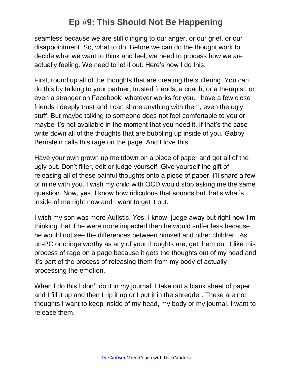seamless because we are still clinging to our anger, or our grief, or our disappointment. So, what to do. Before we can do the thought work to decide what we want to think and feel, we need to process how we are actually feeling. We need to let it out. Here's how I do this.

First, round up all of the thoughts that are creating the suffering. You can do this by talking to your partner, trusted friends, a coach, or a therapist, or even a stranger on Facebook, whatever works for you. I have a few close friends I deeply trust and I can share anything with them, even the ugly stuff. But maybe talking to someone does not feel comfortable to you or maybe it's not available in the moment that you need it. If that's the case write down all of the thoughts that are bubbling up inside of you. Gabby Bernstein calls this rage on the page. And I love this.

Have your own grown up meltdown on a piece of paper and get all of the ugly out. Don't filter, edit or judge yourself. Give yourself the gift of releasing all of these painful thoughts onto a piece of paper. I'll share a few of mine with you. I wish my child with OCD would stop asking me the same question. Now, yes, I know how ridiculous that sounds but that's what's inside of me right now and I want to get it out.

I wish my son was more Autistic. Yes, I know, judge away but right now I'm thinking that if he were more impacted then he would suffer less because he would not see the differences between himself and other children. As un-PC or cringe worthy as any of your thoughts are, get them out. I like this process of rage on a page because it gets the thoughts out of my head and it's part of the process of releasing them from my body of actually processing the emotion.

When I do this I don't do it in my journal. I take out a blank sheet of paper and I fill it up and then I rip it up or I put it in the shredder. These are not thoughts I want to keep inside of my head, my body or my journal. I want to release them.